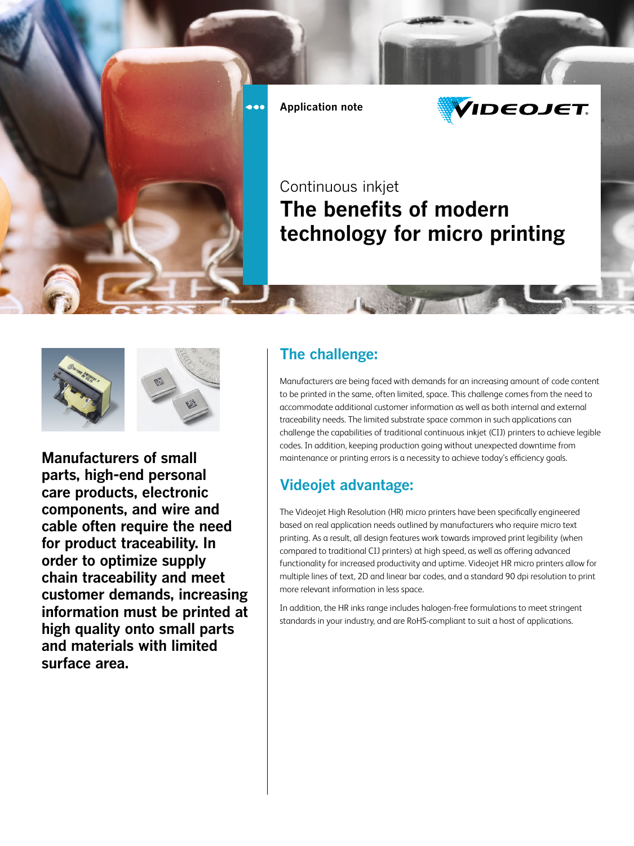

**Application note**



## Continuous inkjet **The benefits of modern technology for micro printing**





**Manufacturers of small parts, high-end personal care products, electronic components, and wire and cable often require the need for product traceability. In order to optimize supply chain traceability and meet customer demands, increasing information must be printed at high quality onto small parts and materials with limited surface area.**

## **The challenge:**

Manufacturers are being faced with demands for an increasing amount of code content to be printed in the same, often limited, space. This challenge comes from the need to accommodate additional customer information as well as both internal and external traceability needs. The limited substrate space common in such applications can challenge the capabilities of traditional continuous inkjet (CIJ) printers to achieve legible codes. In addition, keeping production going without unexpected downtime from maintenance or printing errors is a necessity to achieve today's efficiency goals.

## **Videojet advantage:**

The Videojet High Resolution (HR) micro printers have been specifically engineered based on real application needs outlined by manufacturers who require micro text printing. As a result, all design features work towards improved print legibility (when compared to traditional CIJ printers) at high speed, as well as offering advanced functionality for increased productivity and uptime. Videojet HR micro printers allow for multiple lines of text, 2D and linear bar codes, and a standard 90 dpi resolution to print more relevant information in less space.

In addition, the HR inks range includes halogen-free formulations to meet stringent standards in your industry, and are RoHS-compliant to suit a host of applications.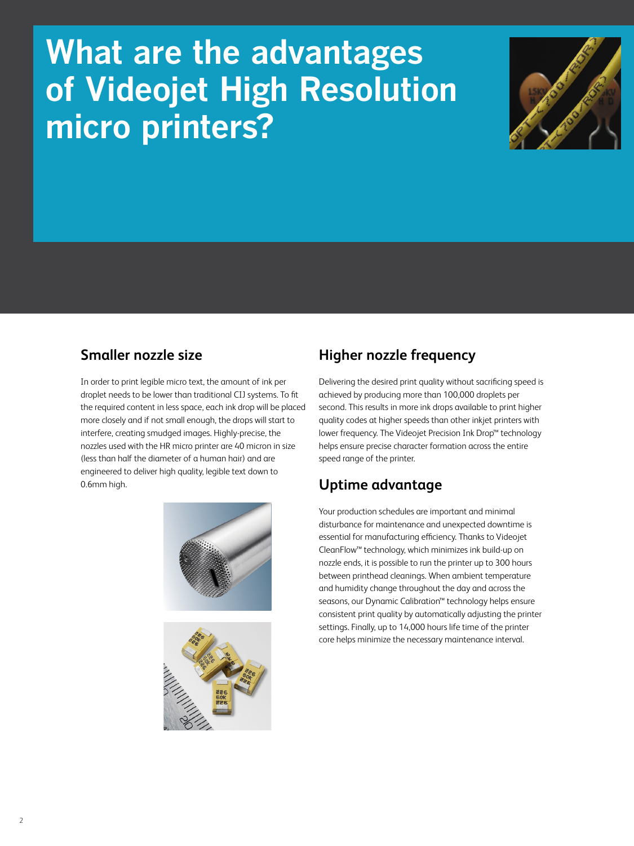# **What are the advantages of Videojet High Resolution micro printers?**



## **Smaller nozzle size**

In order to print legible micro text, the amount of ink per droplet needs to be lower than traditional CIJ systems. To fit the required content in less space, each ink drop will be placed more closely and if not small enough, the drops will start to interfere, creating smudged images. Highly-precise, the nozzles used with the HR micro printer are 40 micron in size (less than half the diameter of a human hair) and are engineered to deliver high quality, legible text down to 0.6mm high.





## **Higher nozzle frequency**

Delivering the desired print quality without sacrificing speed is achieved by producing more than 100,000 droplets per second. This results in more ink drops available to print higher quality codes at higher speeds than other inkjet printers with lower frequency. The Videojet Precision Ink Drop™ technology helps ensure precise character formation across the entire speed range of the printer.

## **Uptime advantage**

Your production schedules are important and minimal disturbance for maintenance and unexpected downtime is essential for manufacturing efficiency. Thanks to Videojet CleanFlow™ technology, which minimizes ink build-up on nozzle ends, it is possible to run the printer up to 300 hours between printhead cleanings. When ambient temperature and humidity change throughout the day and across the seasons, our Dynamic Calibration™ technology helps ensure consistent print quality by automatically adjusting the printer settings. Finally, up to 14,000 hours life time of the printer core helps minimize the necessary maintenance interval.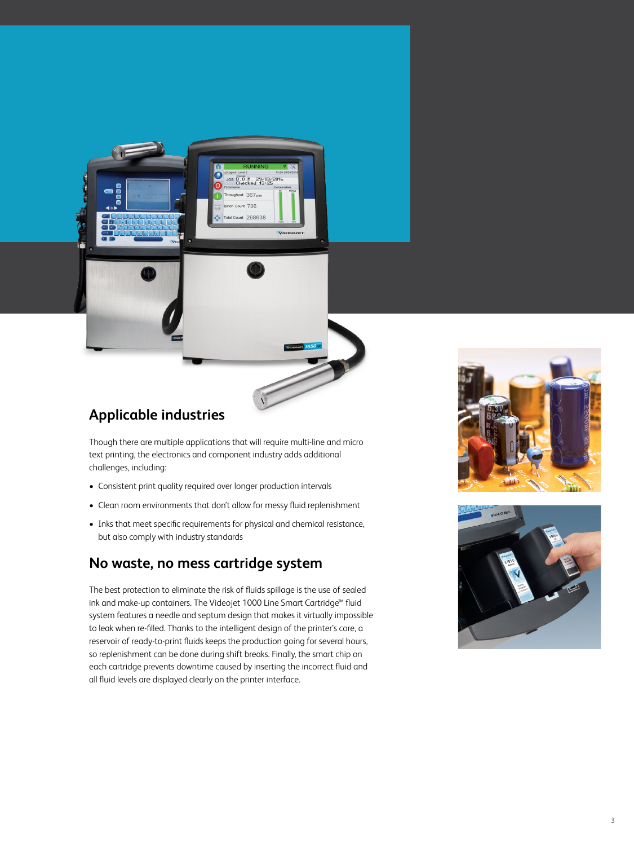

Though there are multiple applications that will require multi-line and micro text printing, the electronics and component industry adds additional challenges, including:

t 298638

**VIDEOJE** 

- Consistent print quality required over longer production intervals
- Clean room environments that don't allow for messy fluid replenishment
- Inks that meet specific requirements for physical and chemical resistance, but also comply with industry standards

#### **No waste, no mess cartridge system**

The best protection to eliminate the risk of fluids spillage is the use of sealed ink and make-up containers. The Videojet 1000 Line Smart Cartridge™ fluid system features a needle and septum design that makes it virtually impossible to leak when re-filled. Thanks to the intelligent design of the printer's core, a reservoir of ready-to-print fluids keeps the production going for several hours, so replenishment can be done during shift breaks. Finally, the smart chip on each cartridge prevents downtime caused by inserting the incorrect fluid and all fluid levels are displayed clearly on the printer interface.